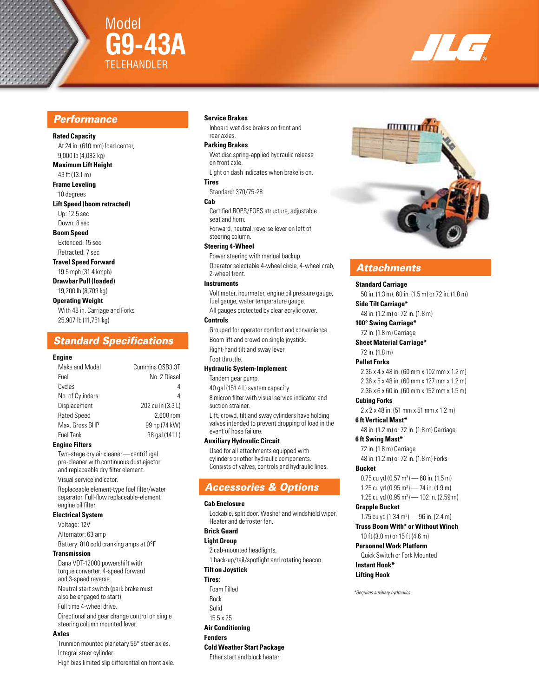

# Model **G9-43A** telehANDLER



# *Performance*

#### **Rated Capacity**

At 24 in. (610 mm) load center, 9,000 lb (4,082 kg)

### **Maximum Lift Height**

43 ft (13.1 m) **Frame Leveling** 10 degrees

**Lift Speed (boom retracted)** Up: 12.5 sec

Down: 8 sec

**Boom Speed** Extended: 15 sec

Retracted: 7 sec

**Travel Speed Forward** 19.5 mph (31.4 kmph)

**Drawbar Pull (loaded)** 19,200 lb (8,709 kg)

#### **Operating Weight**

With 48 in. Carriage and Forks 25,907 lb (11,751 kg)

# *Standard Specifications*

#### **Engine**

| Make and Model     | Cummins QSB3.3T   |
|--------------------|-------------------|
| Fuel               | No. 2 Diesel      |
| Cycles             | 4                 |
| No. of Cylinders   | 4                 |
| Displacement       | 202 cu in (3.3 L) |
| <b>Rated Speed</b> | 2,600 rpm         |
| Max. Gross BHP     | 99 hp (74 kW)     |
| <b>Fuel Tank</b>   | 38 gal (141 L)    |
|                    |                   |

#### **Engine Filters**

Two-stage dry air cleaner—centrifugal pre-cleaner with continuous dust ejector and replaceable dry filter element. Visual service indicator. Replaceable element-type fuel filter/water separator. Full-flow replaceable-element engine oil filter.

#### **Electrical System**

Voltage: 12V Alternator: 63 amp Battery: 810 cold cranking amps at 0°F

#### **Transmission**

Dana VDT-12000 powershift with torque converter. 4-speed forward and 3-speed reverse. Neutral start switch (park brake must also be engaged to start). Full time 4-wheel drive. Directional and gear change control on single steering column mounted lever.

#### **Axles**

Trunnion mounted planetary 55° steer axles. Integral steer cylinder. High bias limited slip differential on front axle.

#### **Service Brakes**

Inboard wet disc brakes on front and rear axles.

#### **Parking Brakes**

Wet disc spring-applied hydraulic release on front axle. Light on dash indicates when brake is on.

# **Tires**

Standard: 370/75-28.

#### **Cab**

Certified ROPS/FOPS structure, adjustable seat and horn. Forward, neutral, reverse lever on left of steering column.

#### **Steering 4-Wheel**

Power steering with manual backup. Operator selectable 4-wheel circle, 4-wheel crab, 2-wheel front.

#### **Instruments**

Volt meter, hourmeter, engine oil pressure gauge, fuel gauge, water temperature gauge. All gauges protected by clear acrylic cover.

#### **Controls**

Grouped for operator comfort and convenience. Boom lift and crowd on single joystick. Right-hand tilt and sway lever. Foot throttle.

#### **Hydraulic System-Implement**

Tandem gear pump.

40 gal (151.4 L) system capacity.

8 micron filter with visual service indicator and suction strainer.

Lift, crowd, tilt and sway cylinders have holding valves intended to prevent dropping of load in the event of hose failure.

#### **Auxiliary Hydraulic Circuit**

Used for all attachments equipped with cylinders or other hydraulic components. Consists of valves, controls and hydraulic lines.

# *Accessories & Options*

#### **Cab Enclosure**

Lockable, split door. Washer and windshield wiper. Heater and defroster fan.

## **Brick Guard**

#### **Light Group**

2 cab-mounted headlights, 1 back-up/tail/spotlight and rotating beacon.

### **Tilt on Joystick**

**Tires:** Foam Filled

# Rock

- Solid
- 15.5 x 25

# **Air Conditioning**

**Fenders**

**Cold Weather Start Package**

Ether start and block heater.



# *Attachments*

#### **Standard Carriage**

50 in. (1.3 m), 60 in. (1.5 m) or 72 in. (1.8 m) **Side Tilt Carriage\***

# 48 in. (1.2 m) or 72 in. (1.8 m)

**100° Swing Carriage\*** 72 in. (1.8 m) Carriage

# **Sheet Material Carriage\***

72 in. (1.8 m)

#### **Pallet Forks**

2.36 x 4 x 48 in. (60 mm x 102 mm x 1.2 m) 2.36 x 5 x 48 in. (60 mm x 127 mm x 1.2 m) 2.36 x 6 x 60 in. (60 mm x 152 mm x 1.5 m)

### **Cubing Forks**

2 x 2 x 48 in. (51 mm x 51 mm x 1.2 m) **6 ft Vertical Mast\***

48 in. (1.2 m) or 72 in. (1.8 m) Carriage **6 ft Swing Mast\***

72 in. (1.8 m) Carriage 48 in. (1.2 m) or 72 in. (1.8 m) Forks

#### **Bucket**

0.75 cu yd (0.57 m<sup>3</sup>) — 60 in. (1.5 m) 1.25 cu yd (0.95 m<sup>3</sup>) - 74 in. (1.9 m) 1.25 cu yd (0.95 m<sup>3</sup>) — 102 in. (2.59 m)

#### **Grapple Bucket**

1.75 cu yd (1.34 m<sup>3</sup>) — 96 in. (2.4 m) **Truss Boom With\* or Without Winch** 10 ft (3.0 m) or 15 ft (4.6 m)

#### **Personnel Work Platform**

Quick Switch or Fork Mounted

#### **Instant Hook\* Lifting Hook**

*\*Requires auxiliary hydraulics*